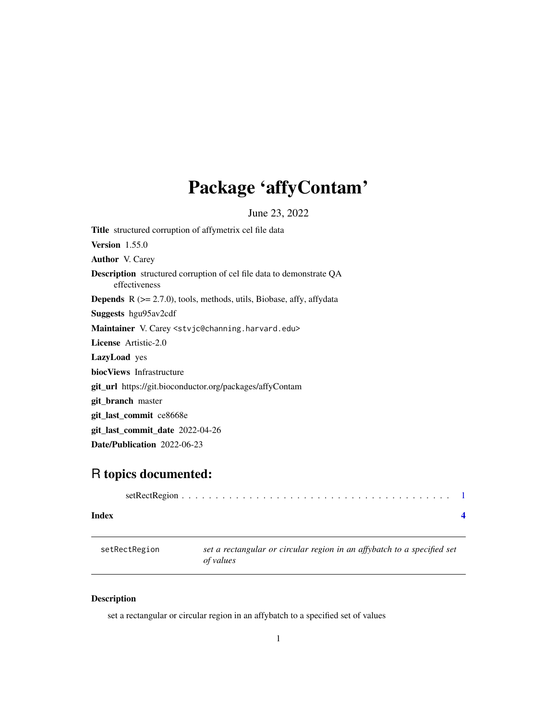## <span id="page-0-0"></span>Package 'affyContam'

June 23, 2022

Title structured corruption of affymetrix cel file data Version 1.55.0 Author V. Carey Description structured corruption of cel file data to demonstrate QA effectiveness **Depends**  $R$  ( $>= 2.7.0$ ), tools, methods, utils, Biobase, affy, affydata Suggests hgu95av2cdf Maintainer V. Carey <stvjc@channing.harvard.edu> License Artistic-2.0 LazyLoad yes biocViews Infrastructure git\_url https://git.bioconductor.org/packages/affyContam git\_branch master git\_last\_commit ce8668e git\_last\_commit\_date 2022-04-26 Date/Publication 2022-06-23

### R topics documented:

| Index |  |  |  |  |  |  |  |  |  |  |  |  |  |  |
|-------|--|--|--|--|--|--|--|--|--|--|--|--|--|--|

| setRectRegion | set a rectangular or circular region in an affybatch to a specified set<br>of values |
|---------------|--------------------------------------------------------------------------------------|
|               |                                                                                      |

#### Description

set a rectangular or circular region in an affybatch to a specified set of values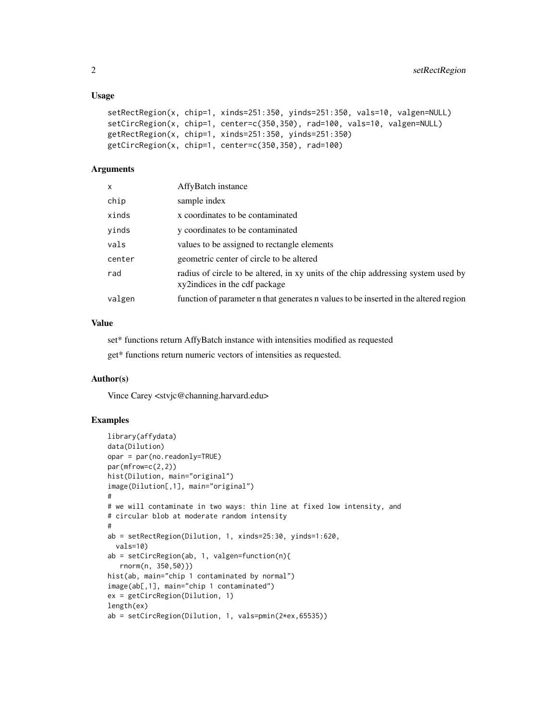#### Usage

```
setRectRegion(x, chip=1, xinds=251:350, yinds=251:350, vals=10, valgen=NULL)
setCircRegion(x, chip=1, center=c(350,350), rad=100, vals=10, valgen=NULL)
getRectRegion(x, chip=1, xinds=251:350, yinds=251:350)
getCircRegion(x, chip=1, center=c(350,350), rad=100)
```
#### Arguments

| $\mathsf{x}$ | AffyBatch instance                                                                                                 |
|--------------|--------------------------------------------------------------------------------------------------------------------|
| chip         | sample index                                                                                                       |
| xinds        | x coordinates to be contaminated                                                                                   |
| yinds        | y coordinates to be contaminated                                                                                   |
| vals         | values to be assigned to rectangle elements                                                                        |
| center       | geometric center of circle to be altered                                                                           |
| rad          | radius of circle to be altered, in xy units of the chip addressing system used by<br>xy2indices in the cdf package |
| valgen       | function of parameter n that generates n values to be inserted in the altered region                               |
|              |                                                                                                                    |

#### Value

set\* functions return AffyBatch instance with intensities modified as requested

get\* functions return numeric vectors of intensities as requested.

#### Author(s)

Vince Carey <stvjc@channing.harvard.edu>

#### Examples

```
library(affydata)
data(Dilution)
opar = par(no.readonly=TRUE)
par(mfrow=c(2,2))
hist(Dilution, main="original")
image(Dilution[,1], main="original")
#
# we will contaminate in two ways: thin line at fixed low intensity, and
# circular blob at moderate random intensity
#
ab = setRectRegion(Dilution, 1, xinds=25:30, yinds=1:620,
 vals=10)
ab = setCircRegion(ab, 1, valgen=function(n){
  rnorm(n, 350,50)})
hist(ab, main="chip 1 contaminated by normal")
image(ab[,1], main="chip 1 contaminated")
ex = getCircRegion(Dilution, 1)
length(ex)
ab = setCircRegion(Dilution, 1, vals=pmin(2*ex,65535))
```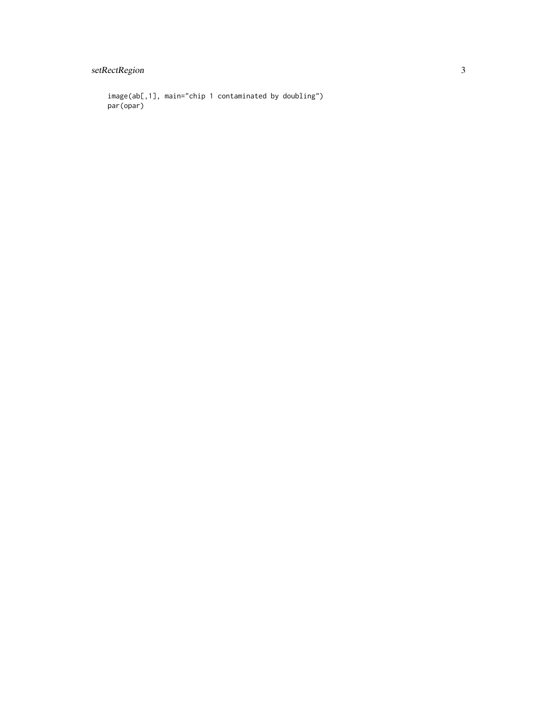setRectRegion

image(ab[,1], main="chip 1 contaminated by doubling") par(opar)